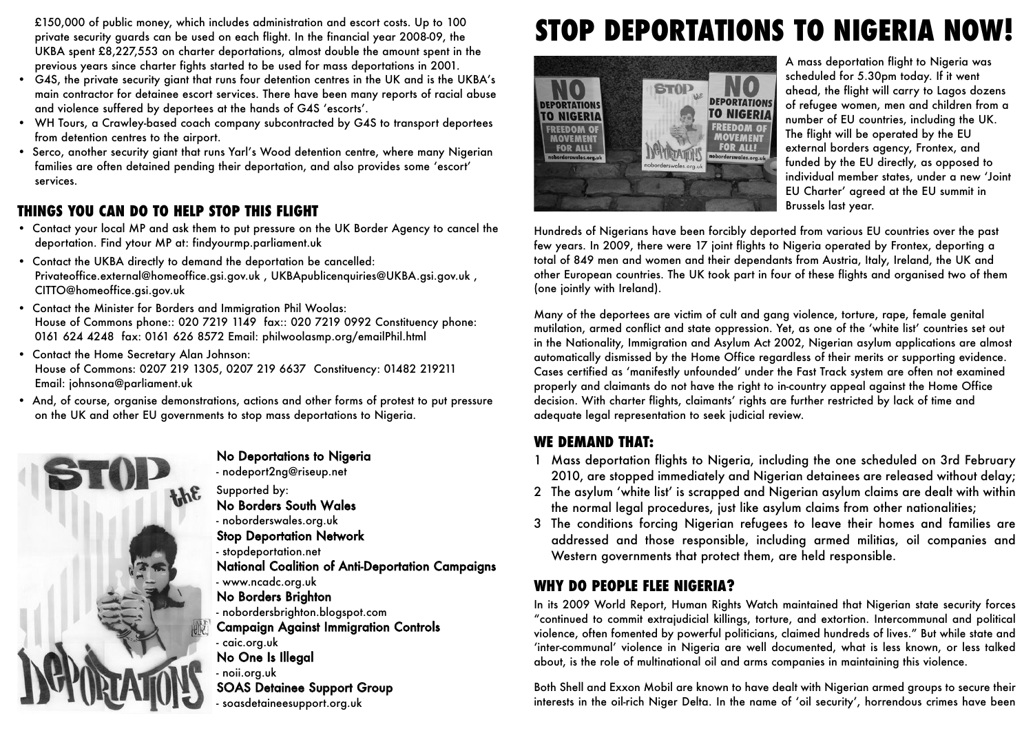£150,000 of public money, which includes administration and escort costs. Up to 100 private security guards can be used on each flight. In the financial year 2008-09, the UKBA spent £8,227,553 on charter deportations, almost double the amount spent in the previous years since charter fights started to be used for mass deportations in 2001.

- G4S, the private security giant that runs four detention centres in the UK and is the UKBA's main contractor for detainee escort services. There have been many reports of racial abuse and violence suffered by deportees at the hands of G4S 'escorts'.
- WH Tours, a Crawley-based coach company subcontracted by G4S to transport deportees from detention centres to the airport.
- Serco, another security giant that runs Yarl's Wood detention centre, where many Nigerian families are often detained pending their deportation, and also provides some 'escort' services.

## **THINGS YOU CAN DO TO HELP STOP THIS FLIGHT**

- Contact your local MP and ask them to put pressure on the UK Border Agency to cancel the deportation. Find ytour MP at: findyourmp.parliament.uk
- Contact the UKBA directly to demand the deportation be cancelled: Privateoffice.external@homeoffice.gsi.gov.uk, UKBApublicenquiries@UKBA.gsi.gov.uk, CITTO@homeoffice.gsi.gov.uk
- Contact the Minister for Borders and Immigration Phil Woolas: House of Commons phone:: 020 7219 1149 fax:: 020 7219 0992 Constituency phone: 0161 624 4248 fax: 0161 626 8572 Email: philwoolasmp.org/emailPhil.html
- Contact the Home Secretary Alan Johnson: House of Commons: 0207 219 1305, 0207 219 6637 Constituency: 01482 219211 Email: johnsona@parliament.uk
- And, of course, organise demonstrations, actions and other forms of protest to put pressure on the UK and other EU governments to stop mass deportations to Nigeria.



# No Deportations to Nigeria

- nodeport2ng@riseup.net

- Supported by:
- No Borders South Wales
- noborderswales.org.uk
- Stop Deportation Network
- stopdeportation.net
- National Coalition of Anti-Deportation Campaigns
- www.ncadc.org.uk

#### No Borders Brighton

- nobordersbrighton.blogspot.com

Campaign Against Immigration Controls

- caic.org.uk No One Is Illegal

- noii.org.uk

SOAS Detainee Support Group

- soasdetaineesupport.org.uk

# **STOP DEPORTATIONS TO NIGERIA NOW!**



A mass deportation flight to Nigeria was scheduled for 5.30pm today. If it went ahead, the flight will carry to Lagos dozens of refugee women, men and children from a number of EU countries, including the UK. The flight will be operated by the EU external borders agency, Frontex, and funded by the EU directly, as opposed to individual member states, under a new 'Joint EU Charter' agreed at the EU summit in Brussels last year.

Hundreds of Nigerians have been forcibly deported from various EU countries over the past few years. In 2009, there were 17 joint flights to Nigeria operated by Frontex, deporting a total of 849 men and women and their dependants from Austria, Italy, Ireland, the UK and other European countries. The UK took part in four of these flights and organised two of them (one jointly with Ireland).

Many of the deportees are victim of cult and gang violence, torture, rape, female genital mutilation, armed conflict and state oppression. Yet, as one of the 'white list' countries set out in the Nationality, Immigration and Asylum Act 2002, Nigerian asylum applications are almost automatically dismissed by the Home Office regardless of their merits or supporting evidence. Cases certified as 'manifestly unfounded' under the Fast Track system are often not examined properly and claimants do not have the right to in-country appeal against the Home Office decision. With charter flights, claimants' rights are further restricted by lack of time and adequate legal representation to seek judicial review.

#### **WE DEMAND THAT:**

- 1 Mass deportation flights to Nigeria, including the one scheduled on 3rd February 2010, are stopped immediately and Nigerian detainees are released without delay;
- 2 The asylum 'white list' is scrapped and Nigerian asylum claims are dealt with within the normal legal procedures, just like asylum claims from other nationalities;
- 3 The conditions forcing Nigerian refugees to leave their homes and families are addressed and those responsible, including armed militias, oil companies and Western governments that protect them, are held responsible.

#### **WHY DO PEOPLE FLEE NIGERIA?**

In its 2009 World Report, Human Rights Watch maintained that Nigerian state security forces "continued to commit extrajudicial killings, torture, and extortion. Intercommunal and political violence, often fomented by powerful politicians, claimed hundreds of lives." But while state and 'inter-communal' violence in Nigeria are well documented, what is less known, or less talked about, is the role of multinational oil and arms companies in maintaining this violence.

Both Shell and Exxon Mobil are known to have dealt with Nigerian armed groups to secure their interests in the oil-rich Niger Delta. In the name of 'oil security', horrendous crimes have been